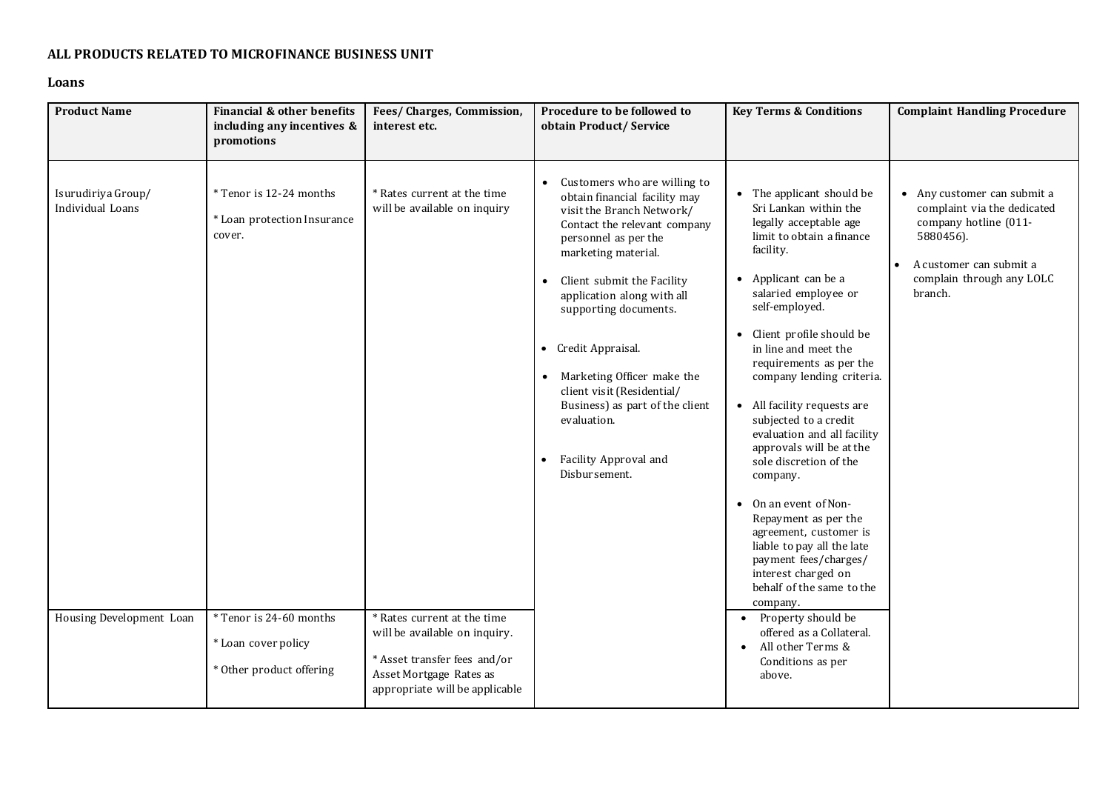## **ALL PRODUCTS RELATED TO MICROFINANCE BUSINESS UNIT**

## **Loans**

| <b>Product Name</b>                                                | Financial & other benefits<br>including any incentives &<br>promotions                                                                         | Fees/Charges, Commission,<br>interest etc.                                                                                                                                                                               | Procedure to be followed to<br>obtain Product/Service                                                                                                                                                                                                                                                                                                                                                                                                                                             | <b>Key Terms &amp; Conditions</b>                                                                                                                                                                                                                                                                                                                                                                                                                                                                                                                                                                                                                                                                                                                                                      | <b>Complaint Handling Procedure</b>                                                                                                                                              |
|--------------------------------------------------------------------|------------------------------------------------------------------------------------------------------------------------------------------------|--------------------------------------------------------------------------------------------------------------------------------------------------------------------------------------------------------------------------|---------------------------------------------------------------------------------------------------------------------------------------------------------------------------------------------------------------------------------------------------------------------------------------------------------------------------------------------------------------------------------------------------------------------------------------------------------------------------------------------------|----------------------------------------------------------------------------------------------------------------------------------------------------------------------------------------------------------------------------------------------------------------------------------------------------------------------------------------------------------------------------------------------------------------------------------------------------------------------------------------------------------------------------------------------------------------------------------------------------------------------------------------------------------------------------------------------------------------------------------------------------------------------------------------|----------------------------------------------------------------------------------------------------------------------------------------------------------------------------------|
| Isurudiriya Group/<br>Individual Loans<br>Housing Development Loan | * Tenor is 12-24 months<br>* Loan protection Insurance<br>cover.<br>* Tenor is 24-60 months<br>* Loan cover policy<br>* Other product offering | * Rates current at the time<br>will be available on inquiry<br>* Rates current at the time<br>will be available on inquiry.<br>* Asset transfer fees and/or<br>Asset Mortgage Rates as<br>appropriate will be applicable | Customers who are willing to<br>$\bullet$<br>obtain financial facility may<br>visit the Branch Network/<br>Contact the relevant company<br>personnel as per the<br>marketing material.<br>Client submit the Facility<br>$\bullet$<br>application along with all<br>supporting documents.<br>• Credit Appraisal.<br>Marketing Officer make the<br>$\bullet$<br>client visit (Residential/<br>Business) as part of the client<br>evaluation.<br>Facility Approval and<br>$\bullet$<br>Disbursement. | • The applicant should be<br>Sri Lankan within the<br>legally acceptable age<br>limit to obtain a finance<br>facility.<br>• Applicant can be a<br>salaried employee or<br>self-employed.<br>• Client profile should be<br>in line and meet the<br>requirements as per the<br>company lending criteria.<br>• All facility requests are<br>subjected to a credit<br>evaluation and all facility<br>approvals will be at the<br>sole discretion of the<br>company.<br>• On an event of Non-<br>Repayment as per the<br>agreement, customer is<br>liable to pay all the late<br>payment fees/charges/<br>interest charged on<br>behalf of the same to the<br>company.<br>• Property should be<br>offered as a Collateral.<br>All other Terms &<br>$\bullet$<br>Conditions as per<br>above. | • Any customer can submit a<br>complaint via the dedicated<br>company hotline (011-<br>5880456).<br>A customer can submit a<br>$\bullet$<br>complain through any LOLC<br>branch. |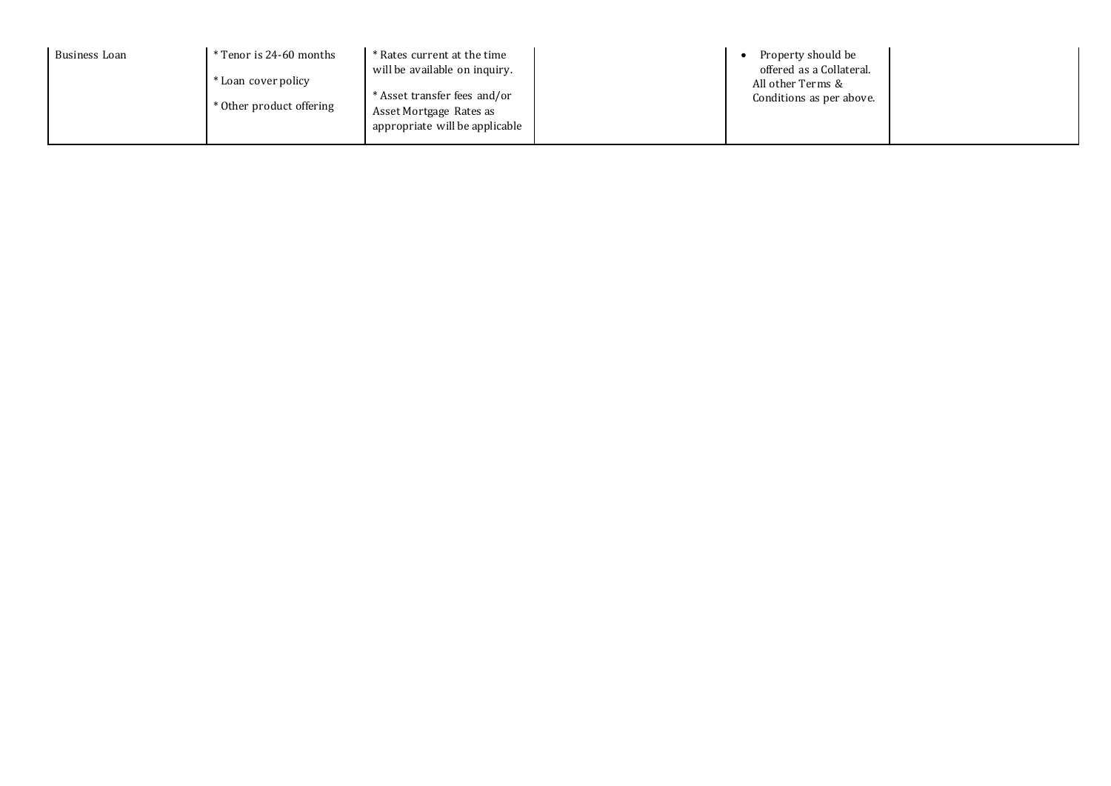| Business Loan | * Tenor is 24-60 months  | * Rates current at the time    | Property should be                            |  |
|---------------|--------------------------|--------------------------------|-----------------------------------------------|--|
|               | Loan cover policy *      | will be available on inquiry.  | offered as a Collateral.<br>All other Terms & |  |
|               | * Other product offering | * Asset transfer fees and/or   | Conditions as per above.                      |  |
|               |                          | Asset Mortgage Rates as        |                                               |  |
|               |                          | appropriate will be applicable |                                               |  |
|               |                          |                                |                                               |  |